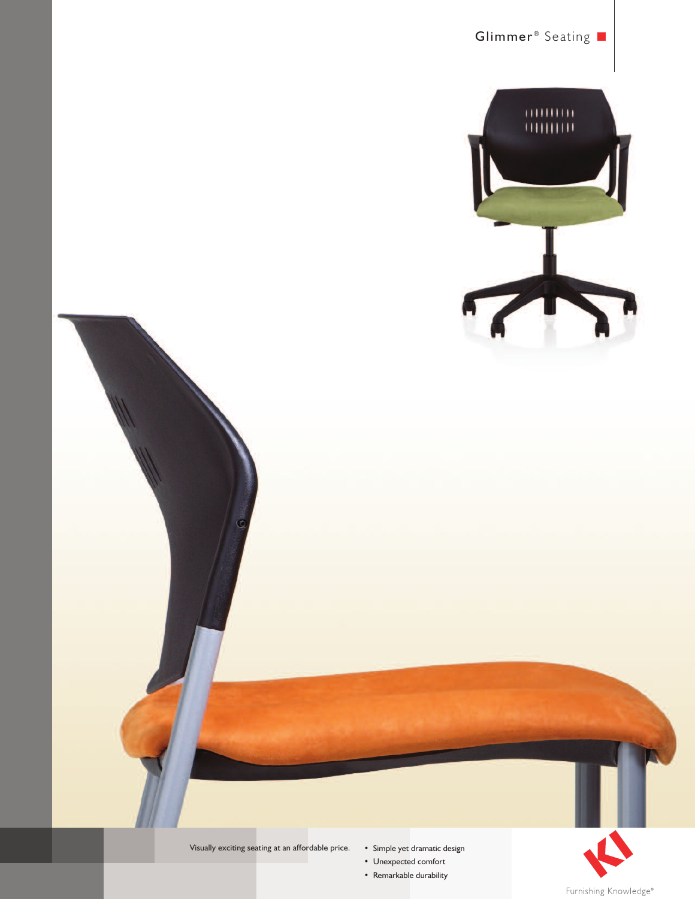





- Simple yet dramatic design
- Unexpected comfort
- Remarkable durability